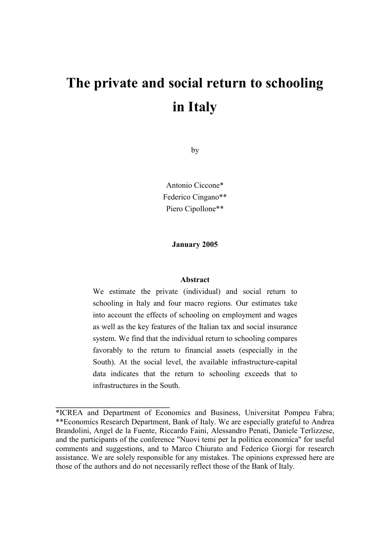# **The private and social return to schooling in Italy**

by

Antonio Ciccone\* Federico Cingano\*\* Piero Cipollone\*\*

**January 2005**

#### **Abstract**

We estimate the private (individual) and social return to schooling in Italy and four macro regions. Our estimates take into account the effects of schooling on employment and wages as well as the key features of the Italian tax and social insurance system. We find that the individual return to schooling compares favorably to the return to financial assets (especially in the South). At the social level, the available infrastructure-capital data indicates that the return to schooling exceeds that to infrastructures in the South.

**\_\_\_\_\_\_\_\_\_\_\_\_\_\_\_\_\_\_\_\_\_\_\_\_\_\_\_\_\_**

<sup>\*</sup>ICREA and Department of Economics and Business, Universitat Pompeu Fabra; \*\*Economics Research Department, Bank of Italy. We are especially grateful to Andrea Brandolini, Angel de la Fuente, Riccardo Faini, Alessandro Penati, Daniele Terlizzese, and the participants of the conference "Nuovi temi per la politica economica" for useful comments and suggestions, and to Marco Chiurato and Federico Giorgi for research assistance. We are solely responsible for any mistakes. The opinions expressed here are those of the authors and do not necessarily reflect those of the Bank of Italy.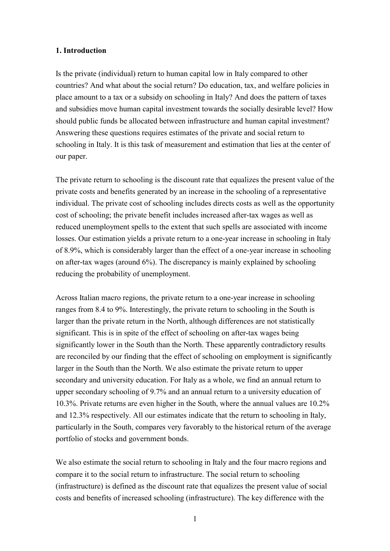#### **1. Introduction**

Is the private (individual) return to human capital low in Italy compared to other countries? And what about the social return? Do education, tax, and welfare policies in place amount to a tax or a subsidy on schooling in Italy? And does the pattern of taxes and subsidies move human capital investment towards the socially desirable level? How should public funds be allocated between infrastructure and human capital investment? Answering these questions requires estimates of the private and social return to schooling in Italy. It is this task of measurement and estimation that lies at the center of our paper.

The private return to schooling is the discount rate that equalizes the present value of the private costs and benefits generated by an increase in the schooling of a representative individual. The private cost of schooling includes directs costs as well as the opportunity cost of schooling; the private benefit includes increased after-tax wages as well as reduced unemployment spells to the extent that such spells are associated with income losses. Our estimation yields a private return to a one-year increase in schooling in Italy of 8.9%, which is considerably larger than the effect of a one-year increase in schooling on after-tax wages (around 6%). The discrepancy is mainly explained by schooling reducing the probability of unemployment.

Across Italian macro regions, the private return to a one-year increase in schooling ranges from 8.4 to 9%. Interestingly, the private return to schooling in the South is larger than the private return in the North, although differences are not statistically significant. This is in spite of the effect of schooling on after-tax wages being significantly lower in the South than the North. These apparently contradictory results are reconciled by our finding that the effect of schooling on employment is significantly larger in the South than the North. We also estimate the private return to upper secondary and university education. For Italy as a whole, we find an annual return to upper secondary schooling of 9.7% and an annual return to a university education of 10.3%. Private returns are even higher in the South, where the annual values are 10.2% and 12.3% respectively. All our estimates indicate that the return to schooling in Italy, particularly in the South, compares very favorably to the historical return of the average portfolio of stocks and government bonds.

We also estimate the social return to schooling in Italy and the four macro regions and compare it to the social return to infrastructure. The social return to schooling (infrastructure) is defined as the discount rate that equalizes the present value of social costs and benefits of increased schooling (infrastructure). The key difference with the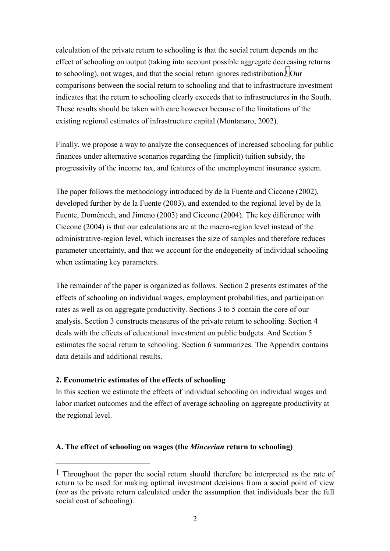calculation of the private return to schooling is that the social return depends on the effect of schooling on output (taking into account possible aggregate decreasing returns to schooling), not wages, and that the social return ignores redistribution.1 Our comparisons between the social return to schooling and that to infrastructure investment indicates that the return to schooling clearly exceeds that to infrastructures in the South. These results should be taken with care however because of the limitations of the existing regional estimates of infrastructure capital (Montanaro, 2002).

Finally, we propose a way to analyze the consequences of increased schooling for public finances under alternative scenarios regarding the (implicit) tuition subsidy, the progressivity of the income tax, and features of the unemployment insurance system.

The paper follows the methodology introduced by de la Fuente and Ciccone (2002), developed further by de la Fuente (2003), and extended to the regional level by de la Fuente, Doménech, and Jimeno (2003) and Ciccone (2004). The key difference with Ciccone (2004) is that our calculations are at the macro-region level instead of the administrative-region level, which increases the size of samples and therefore reduces parameter uncertainty, and that we account for the endogeneity of individual schooling when estimating key parameters.

The remainder of the paper is organized as follows. Section 2 presents estimates of the effects of schooling on individual wages, employment probabilities, and participation rates as well as on aggregate productivity. Sections 3 to 5 contain the core of our analysis. Section 3 constructs measures of the private return to schooling. Section 4 deals with the effects of educational investment on public budgets. And Section 5 estimates the social return to schooling. Section 6 summarizes. The Appendix contains data details and additional results.

#### **2. Econometric estimates of the effects of schooling**

 $\overline{a}$ 

In this section we estimate the effects of individual schooling on individual wages and labor market outcomes and the effect of average schooling on aggregate productivity at the regional level.

#### **A. The effect of schooling on wages (the** *Mincerian* **return to schooling)**

<sup>1</sup> Throughout the paper the social return should therefore be interpreted as the rate of return to be used for making optimal investment decisions from a social point of view (*not* as the private return calculated under the assumption that individuals bear the full social cost of schooling).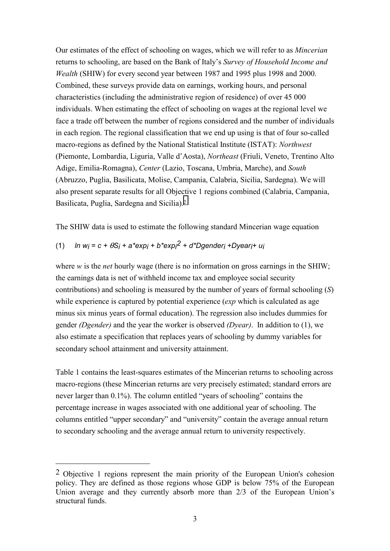Our estimates of the effect of schooling on wages, which we will refer to as *Mincerian* returns to schooling, are based on the Bank of Italy's *Survey of Household Income and Wealth* (SHIW) for every second year between 1987 and 1995 plus 1998 and 2000. Combined, these surveys provide data on earnings, working hours, and personal characteristics (including the administrative region of residence) of over 45 000 individuals. When estimating the effect of schooling on wages at the regional level we face a trade off between the number of regions considered and the number of individuals in each region. The regional classification that we end up using is that of four so-called macro-regions as defined by the National Statistical Institute (ISTAT): *Northwest* (Piemonte, Lombardia, Liguria, Valle d'Aosta), *Northeast* (Friuli, Veneto, Trentino Alto Adige, Emilia-Romagna), *Center* (Lazio, Toscana, Umbria, Marche), and *South* (Abruzzo, Puglia, Basilicata, Molise, Campania, Calabria, Sicilia, Sardegna). We will also present separate results for all Objective 1 regions combined (Calabria, Campania, Basilicata, Puglia, Sardegna and Sicilia).2

The SHIW data is used to estimate the following standard Mincerian wage equation

# (1) *ln wi = c +* <sup>θ</sup>*Si + a\*expi + b\*expi 2 + d\*Dgenderi +Dyeari+ ui*

where *w* is the *net* hourly wage (there is no information on gross earnings in the SHIW; the earnings data is net of withheld income tax and employee social security contributions) and schooling is measured by the number of years of formal schooling (*S*) while experience is captured by potential experience (*exp* which is calculated as age minus six minus years of formal education). The regression also includes dummies for gender *(Dgender)* and the year the worker is observed *(Dyear)*. In addition to (1), we also estimate a specification that replaces years of schooling by dummy variables for secondary school attainment and university attainment.

Table 1 contains the least-squares estimates of the Mincerian returns to schooling across macro-regions (these Mincerian returns are very precisely estimated; standard errors are never larger than 0.1%). The column entitled "years of schooling" contains the percentage increase in wages associated with one additional year of schooling. The columns entitled "upper secondary" and "university" contain the average annual return to secondary schooling and the average annual return to university respectively.

 $\overline{a}$ 

<sup>2</sup> Objective 1 regions represent the main priority of the European Union's cohesion policy. They are defined as those regions whose GDP is below 75% of the European Union average and they currently absorb more than 2/3 of the European Union's structural funds.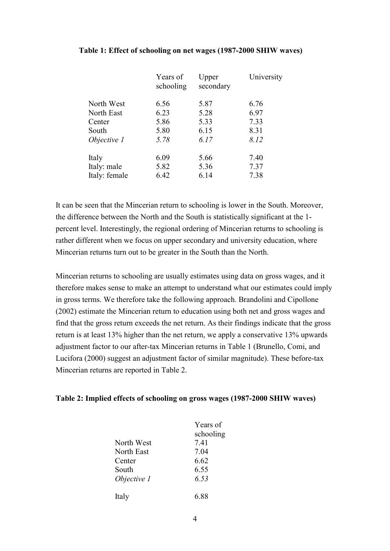#### **Table 1: Effect of schooling on net wages (1987-2000 SHIW waves)**

|               | Years of<br>schooling | Upper<br>secondary | University |
|---------------|-----------------------|--------------------|------------|
| North West    | 6.56                  | 5.87               | 6.76       |
| North East    | 6.23                  | 5.28               | 6.97       |
| Center        | 5.86                  | 5.33               | 7.33       |
| South         | 5.80                  | 6.15               | 8.31       |
| Objective 1   | 5.78                  | 6.17               | 8.12       |
| Italy         | 6.09                  | 5.66               | 7.40       |
| Italy: male   | 5.82                  | 5.36               | 7.37       |
| Italy: female | 6.42                  | 6.14               | 7.38       |
|               |                       |                    |            |

It can be seen that the Mincerian return to schooling is lower in the South. Moreover, the difference between the North and the South is statistically significant at the 1 percent level. Interestingly, the regional ordering of Mincerian returns to schooling is rather different when we focus on upper secondary and university education, where Mincerian returns turn out to be greater in the South than the North.

Mincerian returns to schooling are usually estimates using data on gross wages, and it therefore makes sense to make an attempt to understand what our estimates could imply in gross terms. We therefore take the following approach. Brandolini and Cipollone (2002) estimate the Mincerian return to education using both net and gross wages and find that the gross return exceeds the net return. As their findings indicate that the gross return is at least 13% higher than the net return, we apply a conservative 13% upwards adjustment factor to our after-tax Mincerian returns in Table 1 (Brunello, Comi, and Lucifora (2000) suggest an adjustment factor of similar magnitude). These before-tax Mincerian returns are reported in Table 2.

#### **Table 2: Implied effects of schooling on gross wages (1987-2000 SHIW waves)**

|             | Years of  |
|-------------|-----------|
|             | schooling |
| North West  | 741       |
| North East  | 704       |
| Center      | 6.62      |
| South       | 6.55      |
| Objective 1 | 6.53      |
| Italy       | 6 88      |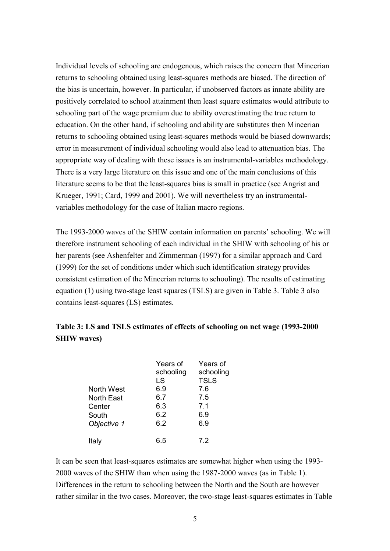Individual levels of schooling are endogenous, which raises the concern that Mincerian returns to schooling obtained using least-squares methods are biased. The direction of the bias is uncertain, however. In particular, if unobserved factors as innate ability are positively correlated to school attainment then least square estimates would attribute to schooling part of the wage premium due to ability overestimating the true return to education. On the other hand, if schooling and ability are substitutes then Mincerian returns to schooling obtained using least-squares methods would be biased downwards; error in measurement of individual schooling would also lead to attenuation bias. The appropriate way of dealing with these issues is an instrumental-variables methodology. There is a very large literature on this issue and one of the main conclusions of this literature seems to be that the least-squares bias is small in practice (see Angrist and Krueger, 1991; Card, 1999 and 2001). We will nevertheless try an instrumentalvariables methodology for the case of Italian macro regions.

The 1993-2000 waves of the SHIW contain information on parents' schooling. We will therefore instrument schooling of each individual in the SHIW with schooling of his or her parents (see Ashenfelter and Zimmerman (1997) for a similar approach and Card (1999) for the set of conditions under which such identification strategy provides consistent estimation of the Mincerian returns to schooling). The results of estimating equation (1) using two-stage least squares (TSLS) are given in Table 3. Table 3 also contains least-squares (LS) estimates.

# **Table 3: LS and TSLS estimates of effects of schooling on net wage (1993-2000 SHIW waves)**

| North West<br><b>North East</b><br>Center<br>South<br>Objective 1 | Years of<br>schooling<br>LS<br>6.9<br>6.7<br>6.3<br>6.2<br>6.2 | Years of<br>schooling<br><b>TSLS</b><br>7.6<br>7.5<br>7.1<br>6.9<br>6.9 |
|-------------------------------------------------------------------|----------------------------------------------------------------|-------------------------------------------------------------------------|
| Italy                                                             | 6 5                                                            | 72                                                                      |

It can be seen that least-squares estimates are somewhat higher when using the 1993- 2000 waves of the SHIW than when using the 1987-2000 waves (as in Table 1). Differences in the return to schooling between the North and the South are however rather similar in the two cases. Moreover, the two-stage least-squares estimates in Table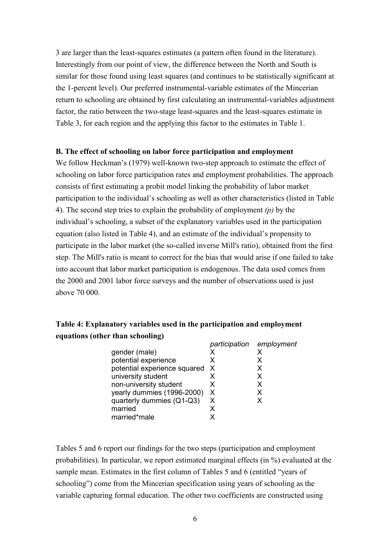3 are larger than the least-squares estimates (a pattern often found in the literature). Interestingly from our point of view, the difference between the North and South is similar for those found using least squares (and continues to be statistically significant at the 1-percent level). Our preferred instrumental-variable estimates of the Mincerian return to schooling are obtained by first calculating an instrumental-variables adjustment factor, the ratio between the two-stage least-squares and the least-squares estimate in Table 3, for each region and the applying this factor to the estimates in Table 1.

#### **B. The effect of schooling on labor force participation and employment**

We follow Heckman's (1979) well-known two-step approach to estimate the effect of schooling on labor force participation rates and employment probabilities. The approach consists of first estimating a probit model linking the probability of labor market participation to the individual's schooling as well as other characteristics (listed in Table 4). The second step tries to explain the probability of employment *(p)* by the individual's schooling, a subset of the explanatory variables used in the participation equation (also listed in Table 4), and an estimate of the individual's propensity to participate in the labor market (the so-called inverse Mill's ratio), obtained from the first step. The Mill's ratio is meant to correct for the bias that would arise if one failed to take into account that labor market participation is endogenous. The data used comes from the 2000 and 2001 labor force surveys and the number of observations used is just above 70 000.

# **Table 4: Explanatory variables used in the participation and employment equations (other than schooling)**

|                              |    | participation employment |
|------------------------------|----|--------------------------|
| gender (male)                |    |                          |
| potential experience         | x  | X.                       |
| potential experience squared | X  | x                        |
| university student           | x  | x                        |
| non-university student       | X  | x                        |
| yearly dummies (1996-2000)   | X. | x                        |
| quarterly dummies (Q1-Q3)    | X  | x                        |
| married                      | x  |                          |
| married*male                 |    |                          |
|                              |    |                          |

Tables 5 and 6 report our findings for the two steps (participation and employment probabilities). In particular, we report estimated marginal effects (in %) evaluated at the sample mean. Estimates in the first column of Tables 5 and 6 (entitled "years of schooling") come from the Mincerian specification using years of schooling as the variable capturing formal education. The other two coefficients are constructed using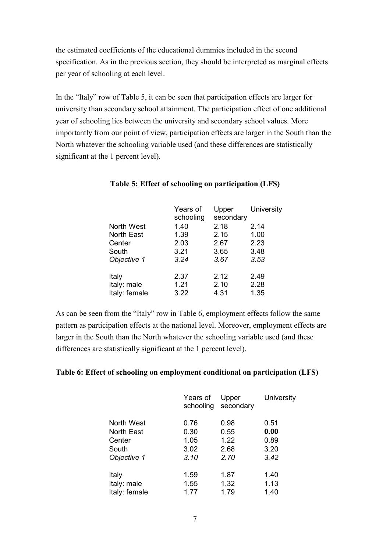the estimated coefficients of the educational dummies included in the second specification. As in the previous section, they should be interpreted as marginal effects per year of schooling at each level.

In the "Italy" row of Table 5, it can be seen that participation effects are larger for university than secondary school attainment. The participation effect of one additional year of schooling lies between the university and secondary school values. More importantly from our point of view, participation effects are larger in the South than the North whatever the schooling variable used (and these differences are statistically significant at the 1 percent level).

| Years of<br>schooling | Upper<br>secondary | University |
|-----------------------|--------------------|------------|
| 1.40                  | 2.18               | 2.14       |
| 1.39                  | 2.15               | 1.00       |
| 2.03                  | 2.67               | 2.23       |
| 3.21                  | 3.65               | 3.48       |
| 3.24                  | 3.67               | 3.53       |
| 2.37                  | 2.12               | 2.49       |
| 1.21                  | 2.10               | 2.28       |
| 3.22                  | 4.31               | 1.35       |
|                       |                    |            |

# **Table 5: Effect of schooling on participation (LFS)**

As can be seen from the "Italy" row in Table 6, employment effects follow the same pattern as participation effects at the national level. Moreover, employment effects are larger in the South than the North whatever the schooling variable used (and these differences are statistically significant at the 1 percent level).

#### **Table 6: Effect of schooling on employment conditional on participation (LFS)**

|                   | Years of<br>schooling | Upper<br>secondary | University |
|-------------------|-----------------------|--------------------|------------|
| North West        | 0.76                  | 0.98               | 0.51       |
| <b>North East</b> | 0.30                  | 0.55               | 0.00       |
| Center            | 1.05                  | 1.22               | 0.89       |
| South             | 3.02                  | 2.68               | 3.20       |
| Objective 1       | 3.10                  | 2.70               | 3.42       |
|                   |                       |                    |            |
| Italy             | 1.59                  | 1.87               | 1.40       |
| Italy: male       | 1.55                  | 1.32               | 1.13       |
| Italy: female     | 1.77                  | 1.79               | 1.40       |
|                   |                       |                    |            |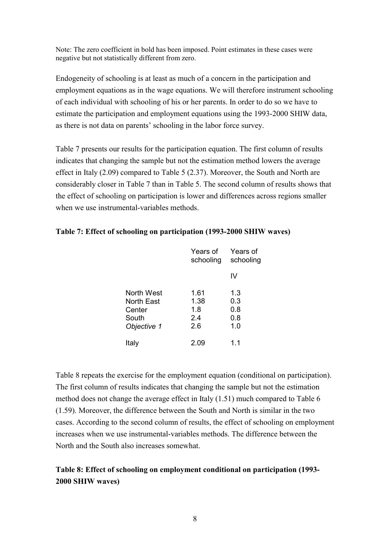Note: The zero coefficient in bold has been imposed. Point estimates in these cases were negative but not statistically different from zero.

Endogeneity of schooling is at least as much of a concern in the participation and employment equations as in the wage equations. We will therefore instrument schooling of each individual with schooling of his or her parents. In order to do so we have to estimate the participation and employment equations using the 1993-2000 SHIW data, as there is not data on parents' schooling in the labor force survey.

Table 7 presents our results for the participation equation. The first column of results indicates that changing the sample but not the estimation method lowers the average effect in Italy (2.09) compared to Table 5 (2.37). Moreover, the South and North are considerably closer in Table 7 than in Table 5. The second column of results shows that the effect of schooling on participation is lower and differences across regions smaller when we use instrumental-variables methods.

|                      | Years of<br>schooling | Years of<br>schooling |  |
|----------------------|-----------------------|-----------------------|--|
|                      |                       | IV                    |  |
| North West           | 1.61                  | 1.3                   |  |
| North East<br>Center | 1.38<br>1.8           | 0.3<br>0.8            |  |
| South                | 2.4                   | 0.8                   |  |
| Objective 1          | 2.6                   | 1.0                   |  |
| Italy                | 2.09                  | 1.1                   |  |

# **Table 7: Effect of schooling on participation (1993-2000 SHIW waves)**

Table 8 repeats the exercise for the employment equation (conditional on participation). The first column of results indicates that changing the sample but not the estimation method does not change the average effect in Italy (1.51) much compared to Table 6 (1.59). Moreover, the difference between the South and North is similar in the two cases. According to the second column of results, the effect of schooling on employment increases when we use instrumental-variables methods. The difference between the North and the South also increases somewhat.

# **Table 8: Effect of schooling on employment conditional on participation (1993- 2000 SHIW waves)**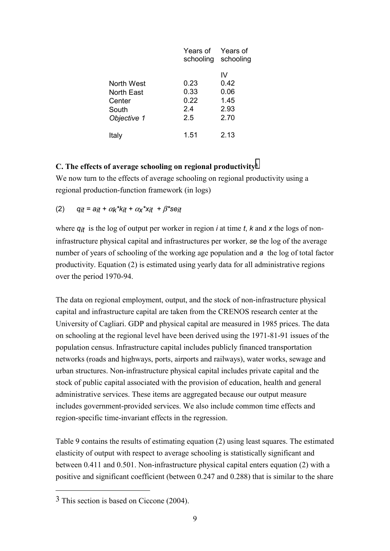|             | Years of<br>schooling | Years of<br>schooling |
|-------------|-----------------------|-----------------------|
|             |                       | IV                    |
| North West  | 0.23                  | 0.42                  |
| North East  | 0.33                  | 0.06                  |
| Center      | 0.22                  | 1.45                  |
| South       | 2.4                   | 2.93                  |
| Objective 1 | 2.5                   | 2.70                  |
| Italy       | 1.51                  | 2.13                  |

#### **C. The effects of average schooling on regional productivity3**

We now turn to the effects of average schooling on regional productivity using a regional production-function framework (in logs)

(2) *qit = ait +* <sup>α</sup>*k\*kit +* <sup>α</sup>*x\*xit +* β*\*seit*

where *qit* is the log of output per worker in region *i* at time *t*, *k* and *x* the logs of noninfrastructure physical capital and infrastructures per worker, *se* the log of the average number of years of schooling of the working age population and *a* the log of total factor productivity. Equation (2) is estimated using yearly data for all administrative regions over the period 1970-94.

The data on regional employment, output, and the stock of non-infrastructure physical capital and infrastructure capital are taken from the CRENOS research center at the University of Cagliari. GDP and physical capital are measured in 1985 prices. The data on schooling at the regional level have been derived using the 1971-81-91 issues of the population census. Infrastructure capital includes publicly financed transportation networks (roads and highways, ports, airports and railways), water works, sewage and urban structures. Non-infrastructure physical capital includes private capital and the stock of public capital associated with the provision of education, health and general administrative services. These items are aggregated because our output measure includes government-provided services. We also include common time effects and region-specific time-invariant effects in the regression.

Table 9 contains the results of estimating equation (2) using least squares. The estimated elasticity of output with respect to average schooling is statistically significant and between 0.411 and 0.501. Non-infrastructure physical capital enters equation (2) with a positive and significant coefficient (between 0.247 and 0.288) that is similar to the share

 $\overline{a}$ 

<sup>3</sup> This section is based on Ciccone (2004).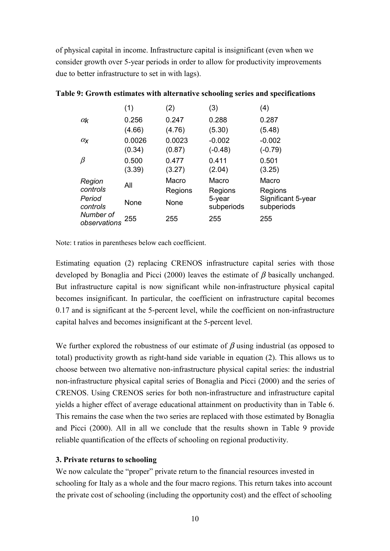of physical capital in income. Infrastructure capital is insignificant (even when we consider growth over 5-year periods in order to allow for productivity improvements due to better infrastructure to set in with lags).

|                           | (1)    | (2)     | (3)                  | (4)                              |
|---------------------------|--------|---------|----------------------|----------------------------------|
| $\alpha_{\mathsf{k}}$     | 0.256  | 0.247   | 0.288                | 0.287                            |
|                           | (4.66) | (4.76)  | (5.30)               | (5.48)                           |
| $\alpha_{\mathsf{X}}$     | 0.0026 | 0.0023  | $-0.002$             | $-0.002$                         |
|                           | (0.34) | (0.87)  | $(-0.48)$            | $(-0.79)$                        |
| $\beta$                   | 0.500  | 0.477   | 0.411                | 0.501                            |
|                           | (3.39) | (3.27)  | (2.04)               | (3.25)                           |
| Region                    | All    | Macro   | Macro                | Macro                            |
| controls                  |        | Regions | Regions              | Regions                          |
| Period<br>controls        | None   | None    | 5-year<br>subperiods | Significant 5-year<br>subperiods |
| Number of<br>observations | 255    | 255     | 255                  | 255                              |

# **Table 9: Growth estimates with alternative schooling series and specifications**

Note: t ratios in parentheses below each coefficient.

Estimating equation (2) replacing CRENOS infrastructure capital series with those developed by Bonaglia and Picci (2000) leaves the estimate of  $\beta$  basically unchanged. But infrastructure capital is now significant while non-infrastructure physical capital becomes insignificant. In particular, the coefficient on infrastructure capital becomes 0.17 and is significant at the 5-percent level, while the coefficient on non-infrastructure capital halves and becomes insignificant at the 5-percent level.

We further explored the robustness of our estimate of  $\beta$  using industrial (as opposed to total) productivity growth as right-hand side variable in equation (2). This allows us to choose between two alternative non-infrastructure physical capital series: the industrial non-infrastructure physical capital series of Bonaglia and Picci (2000) and the series of CRENOS. Using CRENOS series for both non-infrastructure and infrastructure capital yields a higher effect of average educational attainment on productivity than in Table 6. This remains the case when the two series are replaced with those estimated by Bonaglia and Picci (2000). All in all we conclude that the results shown in Table 9 provide reliable quantification of the effects of schooling on regional productivity.

# **3. Private returns to schooling**

We now calculate the "proper" private return to the financial resources invested in schooling for Italy as a whole and the four macro regions. This return takes into account the private cost of schooling (including the opportunity cost) and the effect of schooling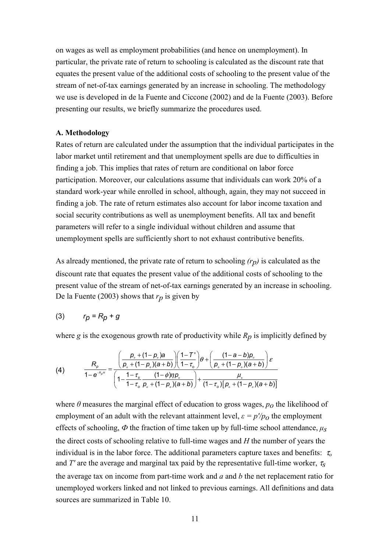on wages as well as employment probabilities (and hence on unemployment). In particular, the private rate of return to schooling is calculated as the discount rate that equates the present value of the additional costs of schooling to the present value of the stream of net-of-tax earnings generated by an increase in schooling. The methodology we use is developed in de la Fuente and Ciccone (2002) and de la Fuente (2003). Before presenting our results, we briefly summarize the procedures used.

#### **A. Methodology**

Rates of return are calculated under the assumption that the individual participates in the labor market until retirement and that unemployment spells are due to difficulties in finding a job. This implies that rates of return are conditional on labor force participation. Moreover, our calculations assume that individuals can work 20% of a standard work-year while enrolled in school, although, again, they may not succeed in finding a job. The rate of return estimates also account for labor income taxation and social security contributions as well as unemployment benefits. All tax and benefit parameters will refer to a single individual without children and assume that unemployment spells are sufficiently short to not exhaust contributive benefits.

As already mentioned, the private rate of return to schooling *(rp)* is calculated as the discount rate that equates the present value of the additional costs of schooling to the present value of the stream of net-of-tax earnings generated by an increase in schooling. De la Fuente (2003) shows that *rp* is given by

$$
(3) \t r_p = R_p + g
$$

where  $g$  is the exogenous growth rate of productivity while  $R_p$  is implicitly defined by

(4) 
$$
\frac{R_p}{1 - e^{-R_p t}} = \frac{\left(\frac{p_o + (1 - p_o)a}{p_o + (1 - p_o)(a + b)}\right)\left(\frac{1 - T'}{1 - \tau_o}\right)\theta + \left(\frac{(1 - a - b)p_o}{p_o + (1 - p_o)(a + b)}\right)\varepsilon}{\left(1 - \frac{1 - \tau_s}{1 - \tau_o}\frac{(1 - \phi)\eta p_o}{p_o + (1 - p_o)(a + b)}\right) + \frac{\mu_s}{(1 - \tau_o)\left[p_o + (1 - p_o)(a + b)\right]}
$$

where  $\theta$  measures the marginal effect of education to gross wages,  $p_0$  the likelihood of employment of an adult with the relevant attainment level,  $\varepsilon = p'/p_0$  the employment effects of schooling,  $\Phi$  the fraction of time taken up by full-time school attendance,  $\mu_s$ the direct costs of schooling relative to full-time wages and *H* the number of years the individual is in the labor force. The additional parameters capture taxes and benefits:  $\tau_o$ and  $T'$  are the average and marginal tax paid by the representative full-time worker,  $\tau_s$ the average tax on income from part-time work and *a* and *b* the net replacement ratio for unemployed workers linked and not linked to previous earnings. All definitions and data sources are summarized in Table 10.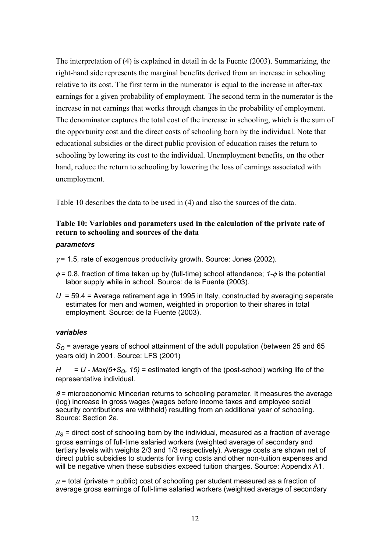The interpretation of (4) is explained in detail in de la Fuente (2003). Summarizing, the right-hand side represents the marginal benefits derived from an increase in schooling relative to its cost. The first term in the numerator is equal to the increase in after-tax earnings for a given probability of employment. The second term in the numerator is the increase in net earnings that works through changes in the probability of employment. The denominator captures the total cost of the increase in schooling, which is the sum of the opportunity cost and the direct costs of schooling born by the individual. Note that educational subsidies or the direct public provision of education raises the return to schooling by lowering its cost to the individual. Unemployment benefits, on the other hand, reduce the return to schooling by lowering the loss of earnings associated with unemployment.

Table 10 describes the data to be used in (4) and also the sources of the data.

# **Table 10: Variables and parameters used in the calculation of the private rate of return to schooling and sources of the data**

#### *parameters*

 $\gamma$  = 1.5, rate of exogenous productivity growth. Source: Jones (2002).

- φ = 0.8, fraction of time taken up by (full-time) school attendance; *1-*φ is the potential labor supply while in school. Source: de la Fuente (2003).
- *U* = 59.4 = Average retirement age in 1995 in Italy, constructed by averaging separate estimates for men and women, weighted in proportion to their shares in total employment. Source: de la Fuente (2003).

#### *variables*

*So* = average years of school attainment of the adult population (between 25 and 65 years old) in 2001. Source: LFS (2001)

 $H = U - Max(6+S_0, 15)$  = estimated length of the (post-school) working life of the representative individual.

 $\theta$  = microeconomic Mincerian returns to schooling parameter. It measures the average (log) increase in gross wages (wages before income taxes and employee social security contributions are withheld) resulting from an additional year of schooling. Source: Section 2a.

 $\mu$ <sub>S</sub> = direct cost of schooling born by the individual, measured as a fraction of average gross earnings of full-time salaried workers (weighted average of secondary and tertiary levels with weights 2/3 and 1/3 respectively). Average costs are shown net of direct public subsidies to students for living costs and other non-tuition expenses and will be negative when these subsidies exceed tuition charges. Source: Appendix A1.

 $\mu$  = total (private + public) cost of schooling per student measured as a fraction of average gross earnings of full-time salaried workers (weighted average of secondary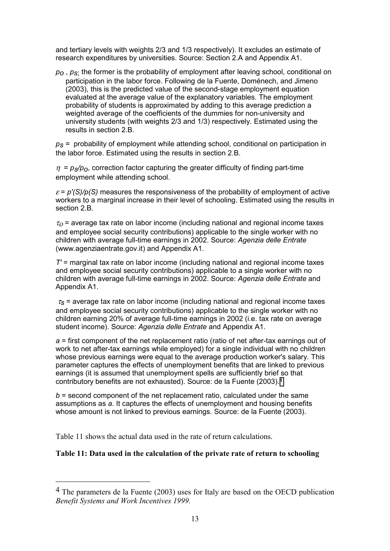and tertiary levels with weights 2/3 and 1/3 respectively). It excludes an estimate of research expenditures by universities. Source: Section 2.A and Appendix A1.

*po* , *ps*; the former is the probability of employment after leaving school, conditional on participation in the labor force. Following de la Fuente, Doménech, and Jimeno (2003), this is the predicted value of the second-stage employment equation evaluated at the average value of the explanatory variables. The employment probability of students is approximated by adding to this average prediction a weighted average of the coefficients of the dummies for non-university and university students (with weights 2/3 and 1/3) respectively. Estimated using the results in section 2.B.

*ps =* probability of employment while attending school, conditional on participation in the labor force. Estimated using the results in section 2.B.

 $\eta = p_s/p_o$ , correction factor capturing the greater difficulty of finding part-time employment while attending school.

 $\varepsilon$  =  $p'(S)/p(S)$  measures the responsiveness of the probability of employment of active workers to a marginal increase in their level of schooling. Estimated using the results in section 2.B.

 $\tau$ <sub>o</sub> = average tax rate on labor income (including national and regional income taxes and employee social security contributions) applicable to the single worker with no children with average full-time earnings in 2002. Source: *Agenzia delle Entrate* (www.agenziaentrate.gov.it) and Appendix A1.

*T'* = marginal tax rate on labor income (including national and regional income taxes and employee social security contributions) applicable to a single worker with no children with average full-time earnings in 2002. Source: *Agenzia delle Entrate* and Appendix A1.

 $\tau_{\rm s}$  = average tax rate on labor income (including national and regional income taxes and employee social security contributions) applicable to the single worker with no children earning 20% of average full-time earnings in 2002 (i.e. tax rate on average student income). Source: *Agenzia delle Entrate* and Appendix A1.

*a* = first component of the net replacement ratio (ratio of net after-tax earnings out of work to net after-tax earnings while employed) for a single individual with no children whose previous earnings were equal to the average production worker's salary. This parameter captures the effects of unemployment benefits that are linked to previous earnings (it is assumed that unemployment spells are sufficiently brief so that contributory benefits are not exhausted). Source: de la Fuente (2003).4

*b* = second component of the net replacement ratio, calculated under the same assumptions as *a*. It captures the effects of unemployment and housing benefits whose amount is not linked to previous earnings. Source: de la Fuente (2003).

Table 11 shows the actual data used in the rate of return calculations.

 $\overline{a}$ 

#### **Table 11: Data used in the calculation of the private rate of return to schooling**

<sup>&</sup>lt;sup>4</sup> The parameters de la Fuente (2003) uses for Italy are based on the OECD publication *Benefit Systems and Work Incentives 1999.*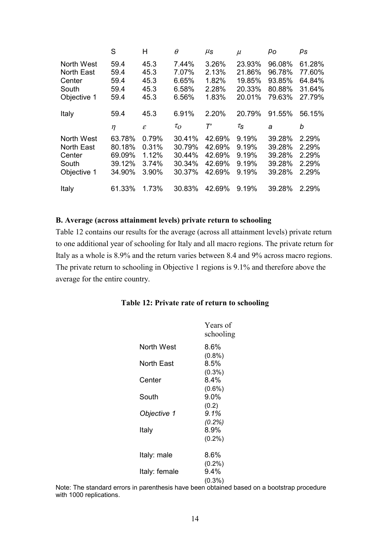|                   | S      | Н            | $\theta$   | μs     | $\mu$               | po     | $p_{\mathcal{S}}$ |
|-------------------|--------|--------------|------------|--------|---------------------|--------|-------------------|
| North West        | 59.4   | 45.3         | 7.44%      | 3.26%  | 23.93%              | 96.08% | 61.28%            |
| <b>North East</b> | 59.4   | 45.3         | 7.07%      | 2.13%  | 21.86%              | 96.78% | 77.60%            |
| Center            | 59.4   | 45.3         | 6.65%      | 1.82%  | 19.85%              | 93.85% | 64.84%            |
| South             | 59.4   | 45.3         | 6.58%      | 2.28%  | 20.33%              | 80.88% | 31.64%            |
| Objective 1       | 59.4   | 45.3         | 6.56%      | 1.83%  | 20.01%              | 79.63% | 27.79%            |
| Italy             | 59.4   | 45.3         | 6.91%      | 2.20%  | 20.79%              | 91.55% | 56.15%            |
|                   | $\eta$ | $\mathcal E$ | $\tau_{O}$ | т'     | $\tau_{\texttt{S}}$ | a      | b                 |
| North West        | 63.78% | 0.79%        | 30.41%     | 42.69% | 9.19%               | 39.28% | 2.29%             |
| <b>North East</b> | 80.18% | 0.31%        | 30.79%     | 42.69% | 9.19%               | 39.28% | 2.29%             |
| Center            | 69.09% | 1.12%        | 30.44%     | 42.69% | 9.19%               | 39.28% | 2.29%             |
| South             | 39.12% | 3.74%        | 30.34%     | 42.69% | 9.19%               | 39.28% | 2.29%             |
| Objective 1       | 34.90% | 3.90%        | 30.37%     | 42.69% | 9.19%               | 39.28% | 2.29%             |
| Italy             | 61.33% | 1.73%        | 30.83%     | 42.69% | 9.19%               | 39.28% | 2.29%             |

#### **B. Average (across attainment levels) private return to schooling**

Table 12 contains our results for the average (across all attainment levels) private return to one additional year of schooling for Italy and all macro regions. The private return for Italy as a whole is 8.9% and the return varies between 8.4 and 9% across macro regions. The private return to schooling in Objective 1 regions is 9.1% and therefore above the average for the entire country.

#### **Table 12: Private rate of return to schooling**

|                   | Years of<br>schooling |
|-------------------|-----------------------|
| <b>North West</b> | 8.6%                  |
| North East        | $(0.8\%)$<br>8.5%     |
|                   | $(0.3\%)$             |
| Center            | 84%                   |
| South             | $(0.6\%)$<br>$9.0\%$  |
| Objective 1       | (0.2)<br>9.1%         |
|                   | (0.2%)                |
| Italy             | 8.9%                  |
|                   | $(0.2\%)$             |
| Italy: male       | $8.6\%$               |
|                   | $(0.2\%)$             |
| Italy: female     | 94%                   |
|                   | $(0.3\%)$             |

Note: The standard errors in parenthesis have been obtained based on a bootstrap procedure with 1000 replications.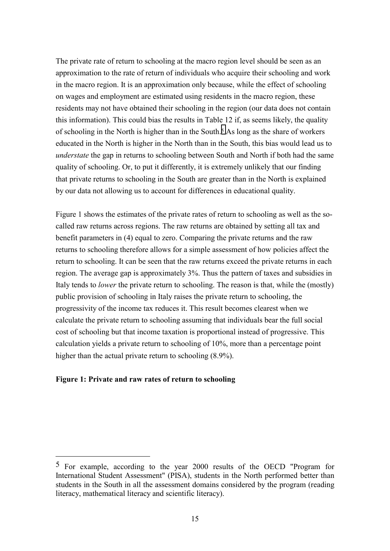The private rate of return to schooling at the macro region level should be seen as an approximation to the rate of return of individuals who acquire their schooling and work in the macro region. It is an approximation only because, while the effect of schooling on wages and employment are estimated using residents in the macro region, these residents may not have obtained their schooling in the region (our data does not contain this information). This could bias the results in Table 12 if, as seems likely, the quality of schooling in the North is higher than in the South.<sup>5</sup> As long as the share of workers educated in the North is higher in the North than in the South, this bias would lead us to *understate* the gap in returns to schooling between South and North if both had the same quality of schooling. Or, to put it differently, it is extremely unlikely that our finding that private returns to schooling in the South are greater than in the North is explained by our data not allowing us to account for differences in educational quality.

Figure 1 shows the estimates of the private rates of return to schooling as well as the socalled raw returns across regions. The raw returns are obtained by setting all tax and benefit parameters in (4) equal to zero. Comparing the private returns and the raw returns to schooling therefore allows for a simple assessment of how policies affect the return to schooling. It can be seen that the raw returns exceed the private returns in each region. The average gap is approximately 3%. Thus the pattern of taxes and subsidies in Italy tends to *lower* the private return to schooling. The reason is that, while the (mostly) public provision of schooling in Italy raises the private return to schooling, the progressivity of the income tax reduces it. This result becomes clearest when we calculate the private return to schooling assuming that individuals bear the full social cost of schooling but that income taxation is proportional instead of progressive. This calculation yields a private return to schooling of 10%, more than a percentage point higher than the actual private return to schooling  $(8.9\%)$ .

#### **Figure 1: Private and raw rates of return to schooling**

 $\overline{a}$ 

<sup>5</sup> For example, according to the year 2000 results of the OECD "Program for International Student Assessment" (PISA), students in the North performed better than students in the South in all the assessment domains considered by the program (reading literacy, mathematical literacy and scientific literacy).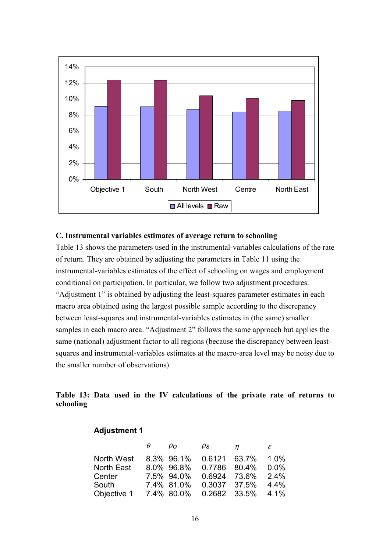

#### **C. Instrumental variables estimates of average return to schooling**

Table 13 shows the parameters used in the instrumental-variables calculations of the rate of return. They are obtained by adjusting the parameters in Table 11 using the instrumental-variables estimates of the effect of schooling on wages and employment conditional on participation. In particular, we follow two adjustment procedures. "Adjustment 1" is obtained by adjusting the least-squares parameter estimates in each macro area obtained using the largest possible sample according to the discrepancy between least-squares and instrumental-variables estimates in (the same) smaller samples in each macro area. "Adjustment 2" follows the same approach but applies the same (national) adjustment factor to all regions (because the discrepancy between leastsquares and instrumental-variables estimates at the macro-area level may be noisy due to the smaller number of observations).

# **Table 13: Data used in the IV calculations of the private rate of returns to schooling**

|                        | $\theta$ | $p_{O}$    | ps           | $\eta$ | $\varepsilon$ |
|------------------------|----------|------------|--------------|--------|---------------|
| North West             |          | 8.3% 96.1% | 0.6121 63.7% |        | 1.0%          |
| North East             |          | 8.0% 96.8% | 0.7786 80.4% |        | 0.0%          |
| Center                 |          | 7.5% 94.0% | 0.6924 73.6% |        | 2.4%          |
| South                  |          | 7.4% 81.0% | 0.3037 37.5% |        | 4.4%          |
| Objective 1 7.4% 80.0% |          |            | 0.2682 33.5% |        | -4.1%         |

**Adjustment 1**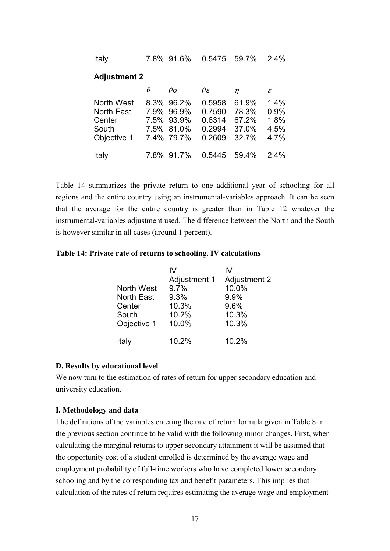| 7.8% 91.6% 0.5475 59.7% 2.4% | Italy |  |  |  |  |  |
|------------------------------|-------|--|--|--|--|--|
|------------------------------|-------|--|--|--|--|--|

#### **Adjustment 2**

|                      | $\theta$ | $p_{O}$                  | $\rho_{\mathcal{S}}$         | $\eta$         | $\varepsilon$ |
|----------------------|----------|--------------------------|------------------------------|----------------|---------------|
| North West           |          | 8.3% 96.2%               | 0.5958                       | 61.9%          | 1.4%          |
| North East<br>Center |          | 7.9% 96.9%<br>7.5% 93.9% | 0.7590<br>0.6314             | 78.3%<br>67.2% | 0.9%<br>1.8%  |
| South<br>Objective 1 |          | 7.5% 81.0%<br>7.4% 79.7% | 0.2994<br>0.2609             | 37.0%<br>32.7% | 4.5%<br>4.7%  |
|                      |          |                          |                              |                |               |
| Italy                |          |                          | 7.8% 91.7% 0.5445 59.4% 2.4% |                |               |

Table 14 summarizes the private return to one additional year of schooling for all regions and the entire country using an instrumental-variables approach. It can be seen that the average for the entire country is greater than in Table 12 whatever the instrumental-variables adjustment used. The difference between the North and the South is however similar in all cases (around 1 percent).

#### **Table 14: Private rate of returns to schooling. IV calculations**

|                   | IV           | ιv                  |
|-------------------|--------------|---------------------|
|                   | Adjustment 1 | <b>Adjustment 2</b> |
| North West        | 9.7%         | 10.0%               |
| <b>North East</b> | 9.3%         | 9.9%                |
| Center            | 10.3%        | 9.6%                |
| South             | 10.2%        | 10.3%               |
| Objective 1       | 10.0%        | 10.3%               |
| Italy             | 10.2%        | 10.2%               |

#### **D. Results by educational level**

We now turn to the estimation of rates of return for upper secondary education and university education.

#### **I. Methodology and data**

The definitions of the variables entering the rate of return formula given in Table 8 in the previous section continue to be valid with the following minor changes. First, when calculating the marginal returns to upper secondary attainment it will be assumed that the opportunity cost of a student enrolled is determined by the average wage and employment probability of full-time workers who have completed lower secondary schooling and by the corresponding tax and benefit parameters. This implies that calculation of the rates of return requires estimating the average wage and employment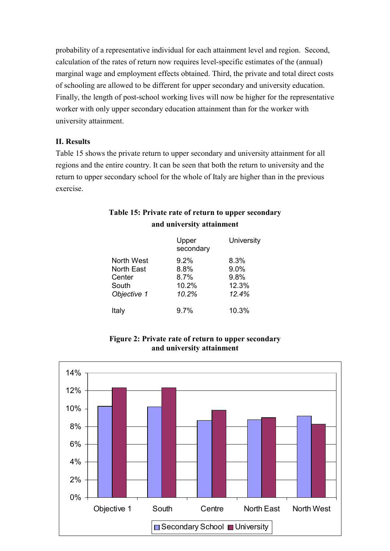probability of a representative individual for each attainment level and region. Second, calculation of the rates of return now requires level-specific estimates of the (annual) marginal wage and employment effects obtained. Third, the private and total direct costs of schooling are allowed to be different for upper secondary and university education. Finally, the length of post-school working lives will now be higher for the representative worker with only upper secondary education attainment than for the worker with university attainment.

# **II. Results**

Table 15 shows the private return to upper secondary and university attainment for all regions and the entire country. It can be seen that both the return to university and the return to upper secondary school for the whole of Italy are higher than in the previous exercise.

| Table 15: Private rate of return to upper secondary |  |
|-----------------------------------------------------|--|
| and university attainment                           |  |

|                                           | Upper<br>secondary                  | University              |
|-------------------------------------------|-------------------------------------|-------------------------|
| North West<br><b>North East</b><br>Center | $9.2\%$<br>8.8%<br>$8.7\%$<br>10.2% | 8.3%<br>9.0%<br>9.8%    |
| South<br>Objective 1<br>Italy             | 10.2%<br>9.7%                       | 12.3%<br>12.4%<br>10.3% |



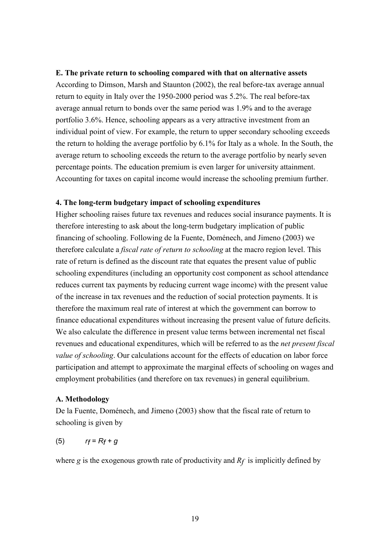#### **E. The private return to schooling compared with that on alternative assets**

According to Dimson, Marsh and Staunton (2002), the real before-tax average annual return to equity in Italy over the 1950-2000 period was 5.2%. The real before-tax average annual return to bonds over the same period was 1.9% and to the average portfolio 3.6%. Hence, schooling appears as a very attractive investment from an individual point of view. For example, the return to upper secondary schooling exceeds the return to holding the average portfolio by 6.1% for Italy as a whole. In the South, the average return to schooling exceeds the return to the average portfolio by nearly seven percentage points. The education premium is even larger for university attainment. Accounting for taxes on capital income would increase the schooling premium further.

#### **4. The long-term budgetary impact of schooling expenditures**

Higher schooling raises future tax revenues and reduces social insurance payments. It is therefore interesting to ask about the long-term budgetary implication of public financing of schooling. Following de la Fuente, Doménech, and Jimeno (2003) we therefore calculate a *fiscal rate of return to schooling* at the macro region level. This rate of return is defined as the discount rate that equates the present value of public schooling expenditures (including an opportunity cost component as school attendance reduces current tax payments by reducing current wage income) with the present value of the increase in tax revenues and the reduction of social protection payments. It is therefore the maximum real rate of interest at which the government can borrow to finance educational expenditures without increasing the present value of future deficits. We also calculate the difference in present value terms between incremental net fiscal revenues and educational expenditures, which will be referred to as the *net present fiscal value of schooling*. Our calculations account for the effects of education on labor force participation and attempt to approximate the marginal effects of schooling on wages and employment probabilities (and therefore on tax revenues) in general equilibrium.

#### **A. Methodology**

De la Fuente, Doménech, and Jimeno (2003) show that the fiscal rate of return to schooling is given by

$$
(5) \t\t rf=Rf+g
$$

where *g* is the exogenous growth rate of productivity and *Rf* is implicitly defined by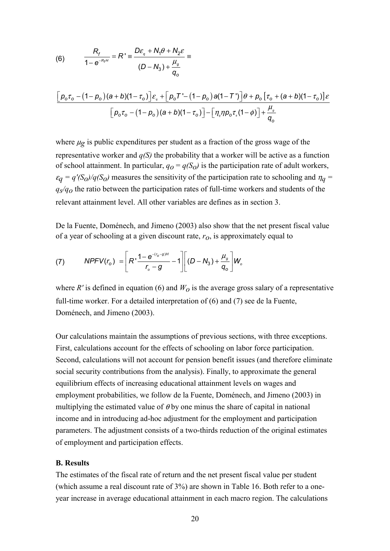(6) 
$$
\frac{R_f}{1 - e^{-R_f H}} = R' = \frac{D\varepsilon_q + N_1 \theta + N_2 \varepsilon}{(D - N_3) + \frac{\mu_g}{q_o}} =
$$

$$
\frac{\left[\rho_o\tau_o - (1 - \rho_o)(a + b)(1 - \tau_o)\right]\varepsilon_a + \left[\rho_o\tau' - (1 - \rho_o)a(1 - \tau')\right]\theta + \rho_o\left[\tau_o + (a + b)(1 - \tau_o)\right]\varepsilon}{\left[\rho_o\tau_o - (1 - \rho_o)(a + b)(1 - \tau_o)\right] - \left[\eta_o\eta\rho_o\tau_s(1 - \phi)\right] + \frac{\mu_s}{q_o}}
$$

where  $\mu$ g is public expenditures per student as a fraction of the gross wage of the representative worker and *q(S)* the probability that a worker will be active as a function of school attainment. In particular,  $q_0 = q(S_0)$  is the participation rate of adult workers,  $\varepsilon_q = q'(S_0)/q(S_0)$  measures the sensitivity of the participation rate to schooling and  $\eta_q =$ *qs/qo* the ratio between the participation rates of full-time workers and students of the relevant attainment level. All other variables are defines as in section 3.

De la Fuente, Doménech, and Jimeno (2003) also show that the net present fiscal value of a year of schooling at a given discount rate, *ro*, is approximately equal to

(7) 
$$
NPFV(r_o) = \left[ R \cdot \frac{1 - e^{-(r_o - g)H}}{r_o - g} - 1 \right] \left[ (D - N_3) + \frac{\mu_g}{q_o} \right] W_o
$$

where  $R'$  is defined in equation (6) and  $W<sub>O</sub>$  is the average gross salary of a representative full-time worker. For a detailed interpretation of (6) and (7) see de la Fuente, Doménech, and Jimeno (2003).

Our calculations maintain the assumptions of previous sections, with three exceptions. First, calculations account for the effects of schooling on labor force participation. Second, calculations will not account for pension benefit issues (and therefore eliminate social security contributions from the analysis). Finally, to approximate the general equilibrium effects of increasing educational attainment levels on wages and employment probabilities, we follow de la Fuente, Doménech, and Jimeno (2003) in multiplying the estimated value of  $\theta$  by one minus the share of capital in national income and in introducing ad-hoc adjustment for the employment and participation parameters. The adjustment consists of a two-thirds reduction of the original estimates of employment and participation effects.

#### **B. Results**

The estimates of the fiscal rate of return and the net present fiscal value per student (which assume a real discount rate of 3%) are shown in Table 16. Both refer to a oneyear increase in average educational attainment in each macro region. The calculations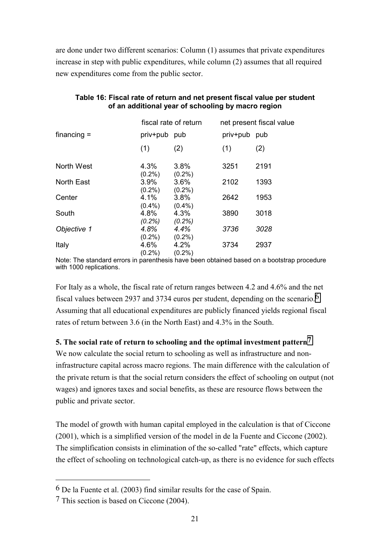are done under two different scenarios: Column (1) assumes that private expenditures increase in step with public expenditures, while column (2) assumes that all required new expenditures come from the public sector.

|               | fiscal rate of return |                   | net present fiscal value |      |  |
|---------------|-----------------------|-------------------|--------------------------|------|--|
| $financing =$ | priv+pub pub          |                   | priv+pub                 | pub  |  |
|               | (1)                   | (2)               | (1)                      | (2)  |  |
| North West    | 4.3%                  | 3.8%              | 3251                     | 2191 |  |
| North East    | $(0.2\%)$<br>3.9%     | $(0.2\%)$<br>3.6% | 2102                     | 1393 |  |
| Center        | $(0.2\%)$<br>4.1%     | $(0.2\%)$<br>3.8% | 2642                     | 1953 |  |
| South         | $(0.4\%)$<br>4.8%     | $(0.4\%)$<br>4.3% | 3890                     | 3018 |  |
| Objective 1   | $(0.2\%)$<br>4.8%     | $(0.2\%)$<br>4.4% | 3736                     | 3028 |  |
| Italy         | $(0.2\%)$<br>4.6%     | $(0.2\%)$<br>4.2% | 3734                     | 2937 |  |
|               | $(0.2\%)$             | $(0.2\%)$         |                          |      |  |

# **Table 16: Fiscal rate of return and net present fiscal value per student of an additional year of schooling by macro region**

Note: The standard errors in parenthesis have been obtained based on a bootstrap procedure with 1000 replications.

For Italy as a whole, the fiscal rate of return ranges between 4.2 and 4.6% and the net fiscal values between 2937 and 3734 euros per student, depending on the scenario.<sup>6</sup> Assuming that all educational expenditures are publicly financed yields regional fiscal rates of return between 3.6 (in the North East) and 4.3% in the South.

# **5. The social rate of return to schooling and the optimal investment pattern7**

We now calculate the social return to schooling as well as infrastructure and noninfrastructure capital across macro regions. The main difference with the calculation of the private return is that the social return considers the effect of schooling on output (not wages) and ignores taxes and social benefits, as these are resource flows between the public and private sector.

The model of growth with human capital employed in the calculation is that of Ciccone (2001), which is a simplified version of the model in de la Fuente and Ciccone (2002). The simplification consists in elimination of the so-called "rate" effects, which capture the effect of schooling on technological catch-up, as there is no evidence for such effects

 $\overline{a}$ 

<sup>6</sup> De la Fuente et al. (2003) find similar results for the case of Spain.

<sup>7</sup> This section is based on Ciccone (2004).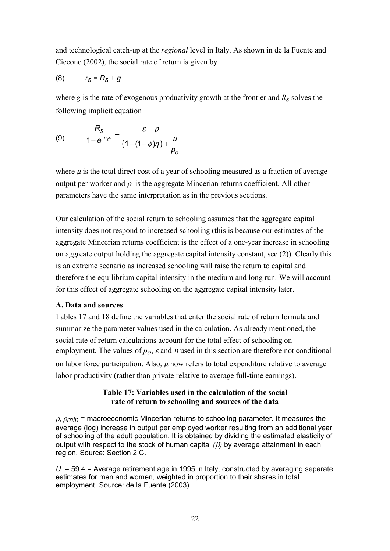and technological catch-up at the *regional* level in Italy. As shown in de la Fuente and Ciccone (2002), the social rate of return is given by

$$
(8) \qquad \qquad r_S = R_S + g
$$

where *g* is the rate of exogenous productivity growth at the frontier and *Rs* solves the following implicit equation

(9) 
$$
\frac{R_{S}}{1-e^{-R_{S}t}} = \frac{\varepsilon+\rho}{(1-(1-\phi)\eta)+\frac{\mu}{p_{o}}}
$$

where  $\mu$  is the total direct cost of a year of schooling measured as a fraction of average output per worker and  $\rho$  is the aggregate Mincerian returns coefficient. All other parameters have the same interpretation as in the previous sections.

Our calculation of the social return to schooling assumes that the aggregate capital intensity does not respond to increased schooling (this is because our estimates of the aggregate Mincerian returns coefficient is the effect of a one-year increase in schooling on aggreate output holding the aggregate capital intensity constant, see (2)). Clearly this is an extreme scenario as increased schooling will raise the return to capital and therefore the equilibrium capital intensity in the medium and long run. We will account for this effect of aggregate schooling on the aggregate capital intensity later.

# **A. Data and sources**

Tables 17 and 18 define the variables that enter the social rate of return formula and summarize the parameter values used in the calculation. As already mentioned, the social rate of return calculations account for the total effect of schooling on employment. The values of  $p_0$ ,  $\varepsilon$  and  $\eta$  used in this section are therefore not conditional on labor force participation. Also,  $\mu$  now refers to total expenditure relative to average labor productivity (rather than private relative to average full-time earnings).

# **Table 17: Variables used in the calculation of the social rate of return to schooling and sources of the data**

<sup>ρ</sup>, ρ*min* = macroeconomic Mincerian returns to schooling parameter. It measures the average (log) increase in output per employed worker resulting from an additional year of schooling of the adult population. It is obtained by dividing the estimated elasticity of output with respect to the stock of human capital *(*β*)* by average attainment in each region. Source: Section 2.C.

 $U = 59.4$  = Average retirement age in 1995 in Italy, constructed by averaging separate estimates for men and women, weighted in proportion to their shares in total employment. Source: de la Fuente (2003).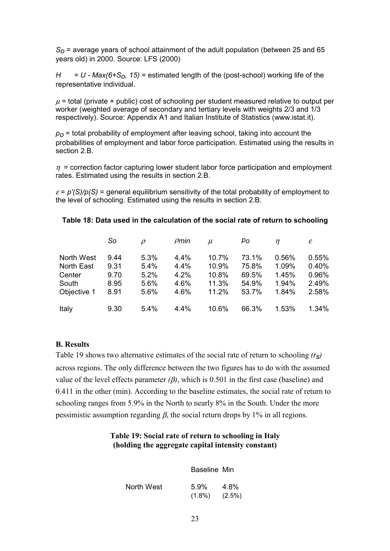*So* = average years of school attainment of the adult population (between 25 and 65 years old) in 2000. Source: LFS (2000)

 $H = U - \text{Max}(6+S_0, 15)$  = estimated length of the (post-school) working life of the representative individual.

 $\mu$  = total (private + public) cost of schooling per student measured relative to output per worker (weighted average of secondary and tertiary levels with weights 2/3 and 1/3 respectively). Source: Appendix A1 and Italian Institute of Statistics (www.istat.it).

*po* = total probability of employment after leaving school, taking into account the probabilities of employment and labor force participation. Estimated using the results in section 2.B.

 $\eta$  = correction factor capturing lower student labor force participation and employment rates. Estimated using the results in section 2.B.

 $\varepsilon = p'(S)/p(S)$  = general equilibrium sensitivity of the total probability of employment to the level of schooling. Estimated using the results in section 2.B.

|                                                    | So                           | $\mathcal{D}$                | $\rho$ min                   | $\mu$                            | pо                               | $\eta$                           | $\mathcal E$                     |
|----------------------------------------------------|------------------------------|------------------------------|------------------------------|----------------------------------|----------------------------------|----------------------------------|----------------------------------|
| North West<br><b>North East</b><br>Center<br>South | 9.44<br>9.31<br>9.70<br>8.95 | 5.3%<br>5.4%<br>5.2%<br>5.6% | 4.4%<br>4.4%<br>4.2%<br>4.6% | 10.7%<br>10.9%<br>10.8%<br>11.3% | 73.1%<br>75.8%<br>69.5%<br>54.9% | 0.56%<br>1.09%<br>1.45%<br>1.94% | 0.55%<br>0.40%<br>0.96%<br>2.49% |
| Objective 1                                        | 8.91                         | 5.6%                         | 4.6%                         | 11.2%                            | 53.7%                            | 1.84%                            | 2.58%                            |
| Italy                                              | 9.30                         | 5.4%                         | 4.4%                         | 10.6%                            | 66.3%                            | 1.53%                            | 1.34%                            |

#### **Table 18: Data used in the calculation of the social rate of return to schooling**

#### **B. Results**

Table 19 shows two alternative estimates of the social rate of return to schooling *(rs)* across regions. The only difference between the two figures has to do with the assumed value of the level effects parameter  $(\beta)$ , which is 0.501 in the first case (baseline) and 0.411 in the other (min). According to the baseline estimates, the social rate of return to schooling ranges from 5.9% in the North to nearly 8% in the South. Under the more pessimistic assumption regarding  $\beta$ , the social return drops by 1% in all regions.

# **Table 19: Social rate of return to schooling in Italy (holding the aggregate capital intensity constant)**

|            | Baseline Min                |      |
|------------|-----------------------------|------|
| North West | 5.9%<br>$(1.8\%)$ $(2.5\%)$ | 4.8% |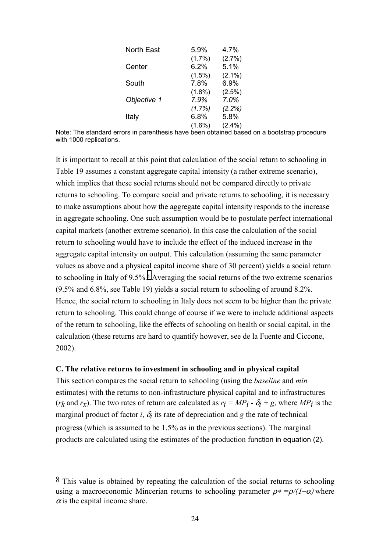| <b>North East</b> | 5.9%      | 4.7%      |
|-------------------|-----------|-----------|
|                   | $(1.7\%)$ | (2.7%)    |
| Center            | 6.2%      | 5.1%      |
|                   | $(1.5\%)$ | $(2.1\%)$ |
| South             | 7.8%      | 6.9%      |
|                   | $(1.8\%)$ | $(2.5\%)$ |
| Objective 1       | 7.9%      | 7.0%      |
|                   | (1.7%)    | (2.2%)    |
| Italy             | 6.8%      | 5.8%      |
|                   | $(1.6\%)$ | $(2.4\%)$ |

Note: The standard errors in parenthesis have been obtained based on a bootstrap procedure with 1000 replications.

It is important to recall at this point that calculation of the social return to schooling in Table 19 assumes a constant aggregate capital intensity (a rather extreme scenario), which implies that these social returns should not be compared directly to private returns to schooling. To compare social and private returns to schooling, it is necessary to make assumptions about how the aggregate capital intensity responds to the increase in aggregate schooling. One such assumption would be to postulate perfect international capital markets (another extreme scenario). In this case the calculation of the social return to schooling would have to include the effect of the induced increase in the aggregate capital intensity on output. This calculation (assuming the same parameter values as above and a physical capital income share of 30 percent) yields a social return to schooling in Italy of 9.5%.8 Averaging the social returns of the two extreme scenarios (9.5% and 6.8%, see Table 19) yields a social return to schooling of around 8.2%. Hence, the social return to schooling in Italy does not seem to be higher than the private return to schooling. This could change of course if we were to include additional aspects of the return to schooling, like the effects of schooling on health or social capital, in the calculation (these returns are hard to quantify however, see de la Fuente and Ciccone, 2002).

#### **C. The relative returns to investment in schooling and in physical capital**

 $\overline{a}$ 

This section compares the social return to schooling (using the *baseline* and *min* estimates) with the returns to non-infrastructure physical capital and to infrastructures (*rk* and *rx*). The two rates of return are calculated as  $r_i = MP_i - \delta_i + g$ , where  $MP_i$  is the marginal product of factor *i*,  $\delta_i$  its rate of depreciation and *g* the rate of technical progress (which is assumed to be 1.5% as in the previous sections). The marginal products are calculated using the estimates of the production function in equation (2).

<sup>&</sup>lt;sup>8</sup> This value is obtained by repeating the calculation of the social returns to schooling using a macroeconomic Mincerian returns to schooling parameter  $\rho^* = \rho/(1-\alpha)$  where  $\alpha$  is the capital income share.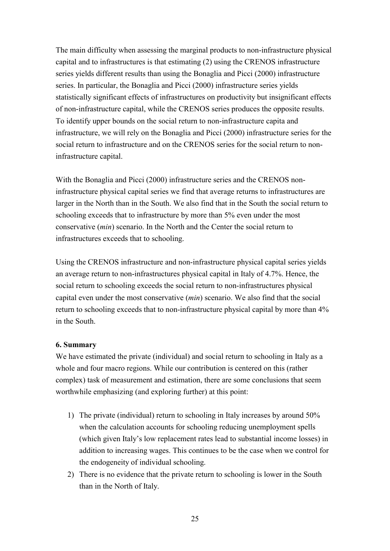The main difficulty when assessing the marginal products to non-infrastructure physical capital and to infrastructures is that estimating (2) using the CRENOS infrastructure series yields different results than using the Bonaglia and Picci (2000) infrastructure series. In particular, the Bonaglia and Picci (2000) infrastructure series yields statistically significant effects of infrastructures on productivity but insignificant effects of non-infrastructure capital, while the CRENOS series produces the opposite results. To identify upper bounds on the social return to non-infrastructure capita and infrastructure, we will rely on the Bonaglia and Picci (2000) infrastructure series for the social return to infrastructure and on the CRENOS series for the social return to noninfrastructure capital.

With the Bonaglia and Picci (2000) infrastructure series and the CRENOS noninfrastructure physical capital series we find that average returns to infrastructures are larger in the North than in the South. We also find that in the South the social return to schooling exceeds that to infrastructure by more than 5% even under the most conservative (*min*) scenario. In the North and the Center the social return to infrastructures exceeds that to schooling.

Using the CRENOS infrastructure and non-infrastructure physical capital series yields an average return to non-infrastructures physical capital in Italy of 4.7%. Hence, the social return to schooling exceeds the social return to non-infrastructures physical capital even under the most conservative (*min*) scenario. We also find that the social return to schooling exceeds that to non-infrastructure physical capital by more than 4% in the South.

#### **6. Summary**

We have estimated the private (individual) and social return to schooling in Italy as a whole and four macro regions. While our contribution is centered on this (rather complex) task of measurement and estimation, there are some conclusions that seem worthwhile emphasizing (and exploring further) at this point:

- 1) The private (individual) return to schooling in Italy increases by around 50% when the calculation accounts for schooling reducing unemployment spells (which given Italy's low replacement rates lead to substantial income losses) in addition to increasing wages. This continues to be the case when we control for the endogeneity of individual schooling.
- 2) There is no evidence that the private return to schooling is lower in the South than in the North of Italy.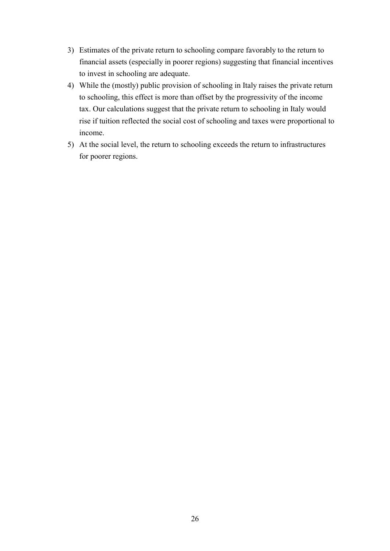- 3) Estimates of the private return to schooling compare favorably to the return to financial assets (especially in poorer regions) suggesting that financial incentives to invest in schooling are adequate.
- 4) While the (mostly) public provision of schooling in Italy raises the private return to schooling, this effect is more than offset by the progressivity of the income tax. Our calculations suggest that the private return to schooling in Italy would rise if tuition reflected the social cost of schooling and taxes were proportional to income.
- 5) At the social level, the return to schooling exceeds the return to infrastructures for poorer regions.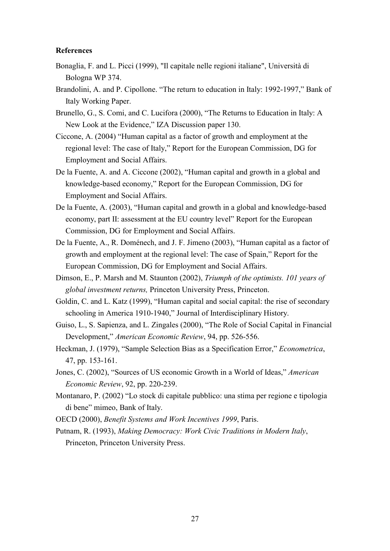#### **References**

- Bonaglia, F. and L. Picci (1999), "Il capitale nelle regioni italiane", Università di Bologna WP 374.
- Brandolini, A. and P. Cipollone. "The return to education in Italy: 1992-1997," Bank of Italy Working Paper.
- Brunello, G., S. Comi, and C. Lucifora (2000), "The Returns to Education in Italy: A New Look at the Evidence," IZA Discussion paper 130.
- Ciccone, A. (2004) "Human capital as a factor of growth and employment at the regional level: The case of Italy," Report for the European Commission, DG for Employment and Social Affairs.
- De la Fuente, A. and A. Ciccone (2002), "Human capital and growth in a global and knowledge-based economy," Report for the European Commission, DG for Employment and Social Affairs.
- De la Fuente, A. (2003), "Human capital and growth in a global and knowledge-based economy, part II: assessment at the EU country level" Report for the European Commission, DG for Employment and Social Affairs.
- De la Fuente, A., R. Doménech, and J. F. Jimeno (2003), "Human capital as a factor of growth and employment at the regional level: The case of Spain," Report for the European Commission, DG for Employment and Social Affairs.
- Dimson, E., P. Marsh and M. Staunton (2002), *Triumph of the optimists. 101 years of global investment returns,* Princeton University Press, Princeton.
- Goldin, C. and L. Katz (1999), "Human capital and social capital: the rise of secondary schooling in America 1910-1940," Journal of Interdisciplinary History.
- Guiso, L., S. Sapienza, and L. Zingales (2000), "The Role of Social Capital in Financial Development," *American Economic Review*, 94, pp. 526-556.
- Heckman, J. (1979), "Sample Selection Bias as a Specification Error," *Econometrica*, 47, pp. 153-161.
- Jones, C. (2002), "Sources of US economic Growth in a World of Ideas," *American Economic Review*, 92, pp. 220-239.
- Montanaro, P. (2002) "Lo stock di capitale pubblico: una stima per regione e tipologia di bene" mimeo, Bank of Italy.
- OECD (2000), *Benefit Systems and Work Incentives 1999*, Paris.
- Putnam, R. (1993), *Making Democracy: Work Civic Traditions in Modern Italy*, Princeton, Princeton University Press.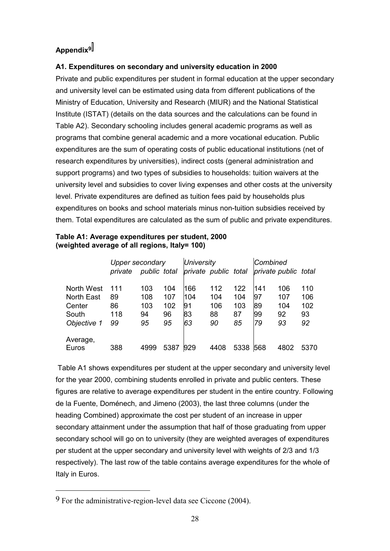# **Appendix9**

# **A1. Expenditures on secondary and university education in 2000**

Private and public expenditures per student in formal education at the upper secondary and university level can be estimated using data from different publications of the Ministry of Education, University and Research (MIUR) and the National Statistical Institute (ISTAT) (details on the data sources and the calculations can be found in Table A2). Secondary schooling includes general academic programs as well as programs that combine general academic and a more vocational education. Public expenditures are the sum of operating costs of public educational institutions (net of research expenditures by universities), indirect costs (general administration and support programs) and two types of subsidies to households: tuition waivers at the university level and subsidies to cover living expenses and other costs at the university level. Private expenditures are defined as tuition fees paid by households plus expenditures on books and school materials minus non-tuition subsidies received by them. Total expenditures are calculated as the sum of public and private expenditures.

| Table A1: Average expenditures per student, 2000 |  |
|--------------------------------------------------|--|
| (weighted average of all regions, Italy= 100)    |  |

|                   | <b>Upper secondary</b> |              |      | <b>University</b>    |      |      | Combined |                      |      |
|-------------------|------------------------|--------------|------|----------------------|------|------|----------|----------------------|------|
|                   | private                | public total |      | private public total |      |      |          | private public total |      |
| North West        | 111                    | 103          | 104  | 166                  | 112  | 122  | 141      | 106                  | 110  |
| <b>North East</b> | 89                     | 108          | 107  | 104                  | 104  | 104  | 197      | 107                  | 106  |
| Center            | 86                     | 103          | 102  | 91                   | 106  | 103  | 89       | 104                  | 102  |
| South             | 118                    | 94           | 96   | 83                   | 88   | 87   | 99       | 92                   | 93   |
| Objective 1       | 99                     | 95           | 95   | 63                   | 90   | 85   | 179      | 93                   | 92   |
| Average,          |                        |              |      |                      |      |      |          |                      |      |
| Euros             | 388                    | 4999         | 5387 | 929                  | 4408 | 5338 | 568      | 4802                 | 5370 |

 Table A1 shows expenditures per student at the upper secondary and university level for the year 2000, combining students enrolled in private and public centers. These figures are relative to average expenditures per student in the entire country. Following de la Fuente, Doménech, and Jimeno (2003), the last three columns (under the heading Combined) approximate the cost per student of an increase in upper secondary attainment under the assumption that half of those graduating from upper secondary school will go on to university (they are weighted averages of expenditures per student at the upper secondary and university level with weights of 2/3 and 1/3 respectively). The last row of the table contains average expenditures for the whole of Italy in Euros.

 $\overline{a}$ 

 $9$  For the administrative-region-level data see Ciccone (2004).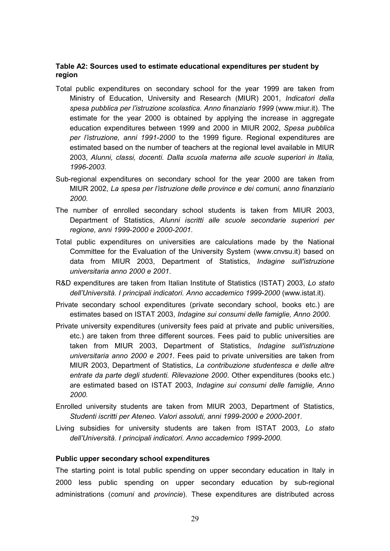# **Table A2: Sources used to estimate educational expenditures per student by region**

- Total public expenditures on secondary school for the year 1999 are taken from Ministry of Education, University and Research (MIUR) 2001, *Indicatori della spesa pubblica per l'istruzione scolastica. Anno finanziario 1999* (www.miur.it). The estimate for the year 2000 is obtained by applying the increase in aggregate education expenditures between 1999 and 2000 in MIUR 2002, *Spesa pubblica per l'istruzione, anni 1991-2000* to the 1999 figure. Regional expenditures are estimated based on the number of teachers at the regional level available in MIUR 2003, *Alunni, classi, docenti. Dalla scuola materna alle scuole superiori in Italia, 1996-2003*.
- Sub-regional expenditures on secondary school for the year 2000 are taken from MIUR 2002, *La spesa per l'istruzione delle province e dei comuni, anno finanziario 2000*.
- The number of enrolled secondary school students is taken from MIUR 2003, Department of Statistics, *Alunni iscritti alle scuole secondarie superiori per regione, anni 1999-2000 e 2000-2001*.
- Total public expenditures on universities are calculations made by the National Committee for the Evaluation of the University System (www.cnvsu.it) based on data from MIUR 2003, Department of Statistics, *Indagine sull'istruzione universitaria anno 2000 e 2001*.
- R&D expenditures are taken from Italian Institute of Statistics (ISTAT) 2003, *Lo stato dell'Università. I principali indicatori. Anno accademico 1999-2000* (www.istat.it).
- Private secondary school expenditures (private secondary school, books etc.) are estimates based on ISTAT 2003, *Indagine sui consumi delle famiglie, Anno 2000*.
- Private university expenditures (university fees paid at private and public universities, etc.) are taken from three different sources. Fees paid to public universities are taken from MIUR 2003, Department of Statistics, *Indagine sull'istruzione universitaria anno 2000 e 2001*. Fees paid to private universities are taken from MIUR 2003, Department of Statistics, *La contribuzione studentesca e delle altre entrate da parte degli studenti. Rilevazione 2000*. Other expenditures (books etc.) are estimated based on ISTAT 2003, *Indagine sui consumi delle famiglie, Anno 2000.*
- Enrolled university students are taken from MIUR 2003, Department of Statistics, *Studenti iscritti per Ateneo. Valori assoluti, anni 1999-2000 e 2000-2001*.
- Living subsidies for university students are taken from ISTAT 2003, *Lo stato dell'Università. I principali indicatori. Anno accademico 1999-2000.*

#### **Public upper secondary school expenditures**

The starting point is total public spending on upper secondary education in Italy in 2000 less public spending on upper secondary education by sub-regional administrations (*comuni* and *provincie*). These expenditures are distributed across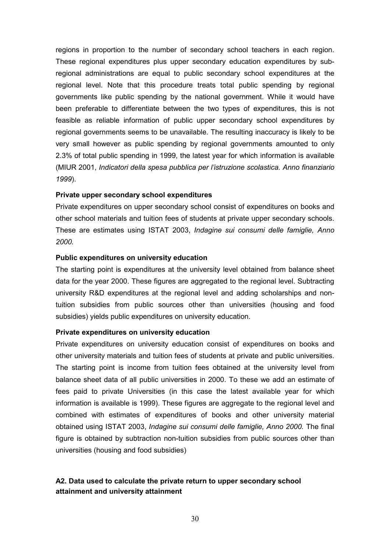regions in proportion to the number of secondary school teachers in each region. These regional expenditures plus upper secondary education expenditures by subregional administrations are equal to public secondary school expenditures at the regional level. Note that this procedure treats total public spending by regional governments like public spending by the national government. While it would have been preferable to differentiate between the two types of expenditures, this is not feasible as reliable information of public upper secondary school expenditures by regional governments seems to be unavailable. The resulting inaccuracy is likely to be very small however as public spending by regional governments amounted to only 2.3% of total public spending in 1999, the latest year for which information is available (MIUR 2001, *Indicatori della spesa pubblica per l'istruzione scolastica. Anno finanziario 1999*).

# **Private upper secondary school expenditures**

Private expenditures on upper secondary school consist of expenditures on books and other school materials and tuition fees of students at private upper secondary schools. These are estimates using ISTAT 2003, *Indagine sui consumi delle famiglie, Anno 2000.*

# **Public expenditures on university education**

The starting point is expenditures at the university level obtained from balance sheet data for the year 2000. These figures are aggregated to the regional level. Subtracting university R&D expenditures at the regional level and adding scholarships and nontuition subsidies from public sources other than universities (housing and food subsidies) yields public expenditures on university education.

#### **Private expenditures on university education**

Private expenditures on university education consist of expenditures on books and other university materials and tuition fees of students at private and public universities. The starting point is income from tuition fees obtained at the university level from balance sheet data of all public universities in 2000. To these we add an estimate of fees paid to private Universities (in this case the latest available year for which information is available is 1999). These figures are aggregate to the regional level and combined with estimates of expenditures of books and other university material obtained using ISTAT 2003, *Indagine sui consumi delle famiglie, Anno 2000.* The final figure is obtained by subtraction non-tuition subsidies from public sources other than universities (housing and food subsidies)

# **A2. Data used to calculate the private return to upper secondary school attainment and university attainment**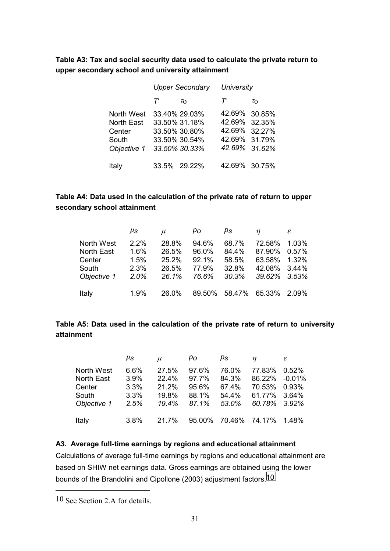**Table A3: Tax and social security data used to calculate the private return to upper secondary school and university attainment**

|                   |   | <b>Upper Secondary</b> | <b>University</b> |                 |  |
|-------------------|---|------------------------|-------------------|-----------------|--|
|                   | т | $\tau_{\Omega}$        |                   | $\tau_{\Omega}$ |  |
| North West        |   | 33.40% 29.03%          | 42.69%            | 30.85%          |  |
| <b>North East</b> |   | 33.50% 31.18%          | 42.69% 32.35%     |                 |  |
| Center            |   | 33.50% 30.80%          | 42.69%            | 32.27%          |  |
| South             |   | 33.50% 30.54%          | 42.69%            | 31.79%          |  |
| Objective 1       |   | 33.50% 30.33%          | 42.69%            | 31.62%          |  |
| Italy             |   | 33.5% 29.22%           | 42.69% 30.75%     |                 |  |

# **Table A4: Data used in the calculation of the private rate of return to upper secondary school attainment**

|                                                            | $\mu_{\texttt{S}}$                   | $\mu$                                     | po                                        | ps                                        | $\eta$                                                           | $\varepsilon$  |
|------------------------------------------------------------|--------------------------------------|-------------------------------------------|-------------------------------------------|-------------------------------------------|------------------------------------------------------------------|----------------|
| North West<br>North East<br>Center<br>South<br>Objective 1 | 2.2%<br>1.6%<br>1.5%<br>2.3%<br>2.0% | 28.8%<br>26.5%<br>25.2%<br>26.5%<br>26.1% | 94.6%<br>96.0%<br>92.1%<br>77.9%<br>76.6% | 68.7%<br>84.4%<br>58.5%<br>32.8%<br>30.3% | 72.58%<br>87.90%<br>63.58% 1.32%<br>42.08% 3.44%<br>39.62% 3.53% | 1.03%<br>0.57% |
| Italy                                                      | 1.9%                                 | 26.0%                                     |                                           | 89.50% 58.47% 65.33% 2.09%                |                                                                  |                |

# **Table A5: Data used in the calculation of the private rate of return to university attainment**

|             | $\mu_{\mathsf{S}}$ | $\mu$ | pо    | ps                         | n             | $\mathcal E$ |
|-------------|--------------------|-------|-------|----------------------------|---------------|--------------|
| North West  | 6.6%               | 27.5% | 97.6% | 76.0%                      | 77.83%        | $0.52\%$     |
| North East  | 3.9%               | 22.4% | 97.7% | 84.3%                      | 86.22% -0.01% |              |
| Center      | 3.3%               | 21.2% | 95.6% | 67.4%                      | 70.53% 0.93%  |              |
| South       | 3.3%               | 19.8% | 88.1% | 54.4%                      | 61.77% 3.64%  |              |
| Objective 1 | 2.5%               | 19.4% | 87.1% | 53.0%                      | 60.78% 3.92%  |              |
| Italy       | 3.8%               | 21.7% |       | 95.00% 70.46% 74.17% 1.48% |               |              |

# **A3. Average full-time earnings by regions and educational attainment**

Calculations of average full-time earnings by regions and educational attainment are based on SHIW net earnings data. Gross earnings are obtained using the lower bounds of the Brandolini and Cipollone (2003) adjustment factors.10

 $\overline{a}$ 

<sup>10</sup> See Section 2.A for details.